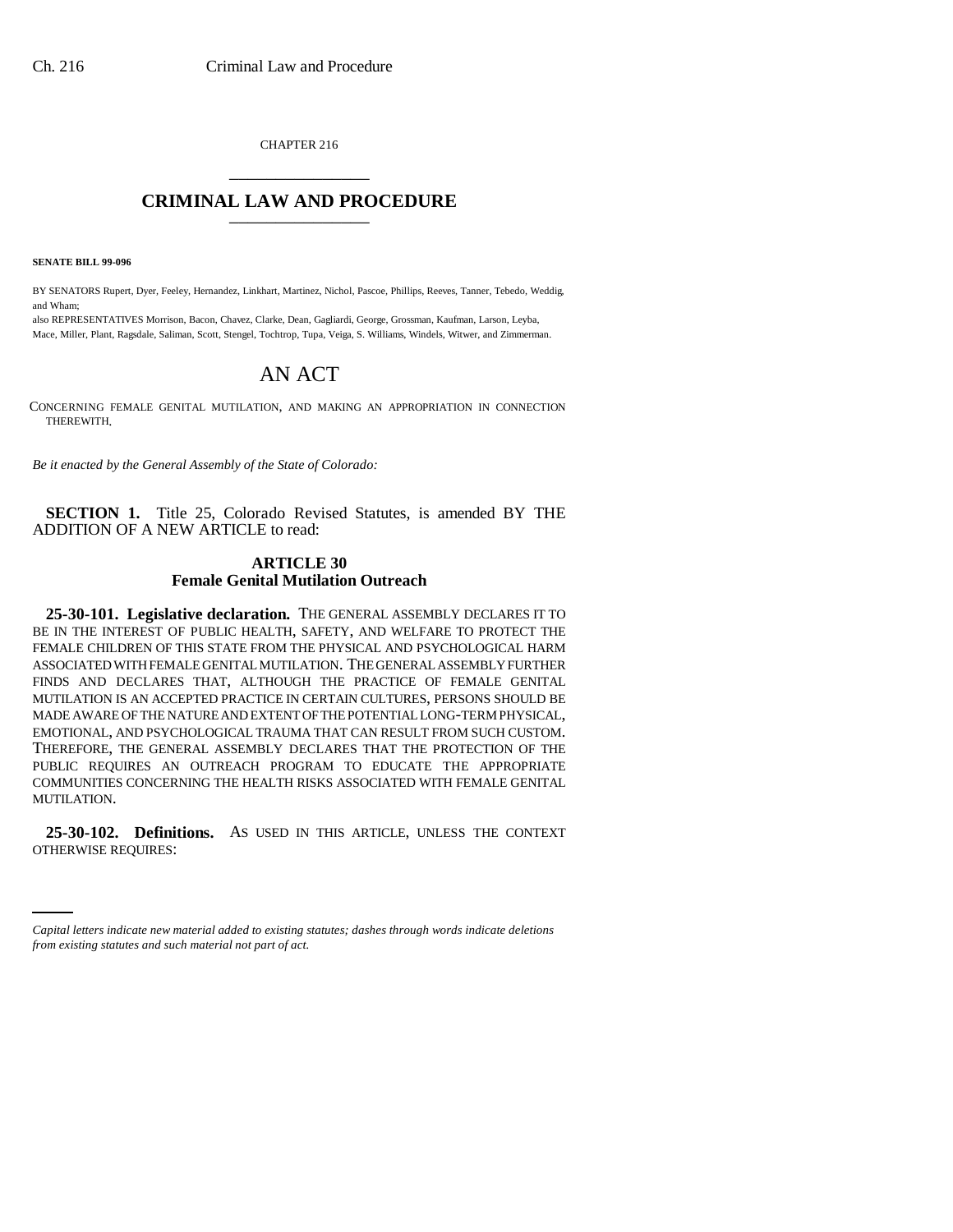CHAPTER 216 \_\_\_\_\_\_\_\_\_\_\_\_\_\_\_

## **CRIMINAL LAW AND PROCEDURE** \_\_\_\_\_\_\_\_\_\_\_\_\_\_\_

**SENATE BILL 99-096**

BY SENATORS Rupert, Dyer, Feeley, Hernandez, Linkhart, Martinez, Nichol, Pascoe, Phillips, Reeves, Tanner, Tebedo, Weddig, and Wham;

also REPRESENTATIVES Morrison, Bacon, Chavez, Clarke, Dean, Gagliardi, George, Grossman, Kaufman, Larson, Leyba, Mace, Miller, Plant, Ragsdale, Saliman, Scott, Stengel, Tochtrop, Tupa, Veiga, S. Williams, Windels, Witwer, and Zimmerman.

## AN ACT

CONCERNING FEMALE GENITAL MUTILATION, AND MAKING AN APPROPRIATION IN CONNECTION THEREWITH.

*Be it enacted by the General Assembly of the State of Colorado:*

**SECTION 1.** Title 25, Colorado Revised Statutes, is amended BY THE ADDITION OF A NEW ARTICLE to read:

## **ARTICLE 30 Female Genital Mutilation Outreach**

**25-30-101. Legislative declaration.** THE GENERAL ASSEMBLY DECLARES IT TO BE IN THE INTEREST OF PUBLIC HEALTH, SAFETY, AND WELFARE TO PROTECT THE FEMALE CHILDREN OF THIS STATE FROM THE PHYSICAL AND PSYCHOLOGICAL HARM ASSOCIATED WITH FEMALE GENITAL MUTILATION. THE GENERAL ASSEMBLY FURTHER FINDS AND DECLARES THAT, ALTHOUGH THE PRACTICE OF FEMALE GENITAL MUTILATION IS AN ACCEPTED PRACTICE IN CERTAIN CULTURES, PERSONS SHOULD BE MADE AWARE OF THE NATURE AND EXTENT OF THE POTENTIAL LONG-TERM PHYSICAL, EMOTIONAL, AND PSYCHOLOGICAL TRAUMA THAT CAN RESULT FROM SUCH CUSTOM. THEREFORE, THE GENERAL ASSEMBLY DECLARES THAT THE PROTECTION OF THE PUBLIC REQUIRES AN OUTREACH PROGRAM TO EDUCATE THE APPROPRIATE COMMUNITIES CONCERNING THE HEALTH RISKS ASSOCIATED WITH FEMALE GENITAL MUTILATION.

 **25-30-102. Definitions.** AS USED IN THIS ARTICLE, UNLESS THE CONTEXT OTHERWISE REQUIRES:

*Capital letters indicate new material added to existing statutes; dashes through words indicate deletions from existing statutes and such material not part of act.*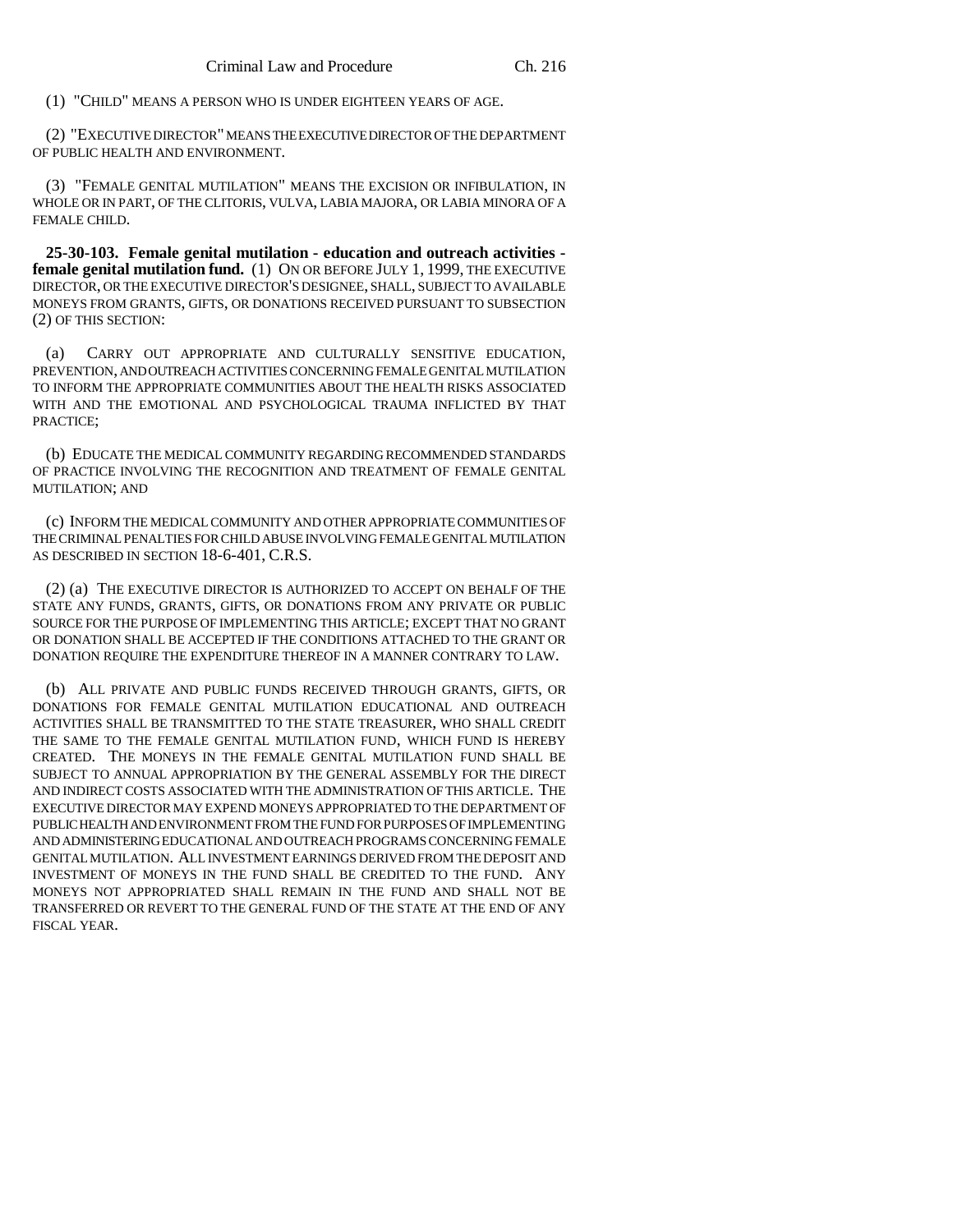(1) "CHILD" MEANS A PERSON WHO IS UNDER EIGHTEEN YEARS OF AGE.

(2) "EXECUTIVE DIRECTOR" MEANS THE EXECUTIVE DIRECTOR OF THE DEPARTMENT OF PUBLIC HEALTH AND ENVIRONMENT.

(3) "FEMALE GENITAL MUTILATION" MEANS THE EXCISION OR INFIBULATION, IN WHOLE OR IN PART, OF THE CLITORIS, VULVA, LABIA MAJORA, OR LABIA MINORA OF A FEMALE CHILD.

**25-30-103. Female genital mutilation - education and outreach activities female genital mutilation fund.** (1) ON OR BEFORE JULY 1, 1999, THE EXECUTIVE DIRECTOR, OR THE EXECUTIVE DIRECTOR'S DESIGNEE, SHALL, SUBJECT TO AVAILABLE MONEYS FROM GRANTS, GIFTS, OR DONATIONS RECEIVED PURSUANT TO SUBSECTION (2) OF THIS SECTION:

(a) CARRY OUT APPROPRIATE AND CULTURALLY SENSITIVE EDUCATION, PREVENTION, AND OUTREACH ACTIVITIES CONCERNING FEMALE GENITAL MUTILATION TO INFORM THE APPROPRIATE COMMUNITIES ABOUT THE HEALTH RISKS ASSOCIATED WITH AND THE EMOTIONAL AND PSYCHOLOGICAL TRAUMA INFLICTED BY THAT PRACTICE;

(b) EDUCATE THE MEDICAL COMMUNITY REGARDING RECOMMENDED STANDARDS OF PRACTICE INVOLVING THE RECOGNITION AND TREATMENT OF FEMALE GENITAL MUTILATION; AND

(c) INFORM THE MEDICAL COMMUNITY AND OTHER APPROPRIATE COMMUNITIES OF THE CRIMINAL PENALTIES FOR CHILD ABUSE INVOLVING FEMALE GENITAL MUTILATION AS DESCRIBED IN SECTION 18-6-401, C.R.S.

(2) (a) THE EXECUTIVE DIRECTOR IS AUTHORIZED TO ACCEPT ON BEHALF OF THE STATE ANY FUNDS, GRANTS, GIFTS, OR DONATIONS FROM ANY PRIVATE OR PUBLIC SOURCE FOR THE PURPOSE OF IMPLEMENTING THIS ARTICLE; EXCEPT THAT NO GRANT OR DONATION SHALL BE ACCEPTED IF THE CONDITIONS ATTACHED TO THE GRANT OR DONATION REQUIRE THE EXPENDITURE THEREOF IN A MANNER CONTRARY TO LAW.

(b) ALL PRIVATE AND PUBLIC FUNDS RECEIVED THROUGH GRANTS, GIFTS, OR DONATIONS FOR FEMALE GENITAL MUTILATION EDUCATIONAL AND OUTREACH ACTIVITIES SHALL BE TRANSMITTED TO THE STATE TREASURER, WHO SHALL CREDIT THE SAME TO THE FEMALE GENITAL MUTILATION FUND, WHICH FUND IS HEREBY CREATED. THE MONEYS IN THE FEMALE GENITAL MUTILATION FUND SHALL BE SUBJECT TO ANNUAL APPROPRIATION BY THE GENERAL ASSEMBLY FOR THE DIRECT AND INDIRECT COSTS ASSOCIATED WITH THE ADMINISTRATION OF THIS ARTICLE. THE EXECUTIVE DIRECTOR MAY EXPEND MONEYS APPROPRIATED TO THE DEPARTMENT OF PUBLIC HEALTH AND ENVIRONMENT FROM THE FUND FOR PURPOSES OF IMPLEMENTING AND ADMINISTERING EDUCATIONAL AND OUTREACH PROGRAMS CONCERNING FEMALE GENITAL MUTILATION. ALL INVESTMENT EARNINGS DERIVED FROM THE DEPOSIT AND INVESTMENT OF MONEYS IN THE FUND SHALL BE CREDITED TO THE FUND. ANY MONEYS NOT APPROPRIATED SHALL REMAIN IN THE FUND AND SHALL NOT BE TRANSFERRED OR REVERT TO THE GENERAL FUND OF THE STATE AT THE END OF ANY FISCAL YEAR.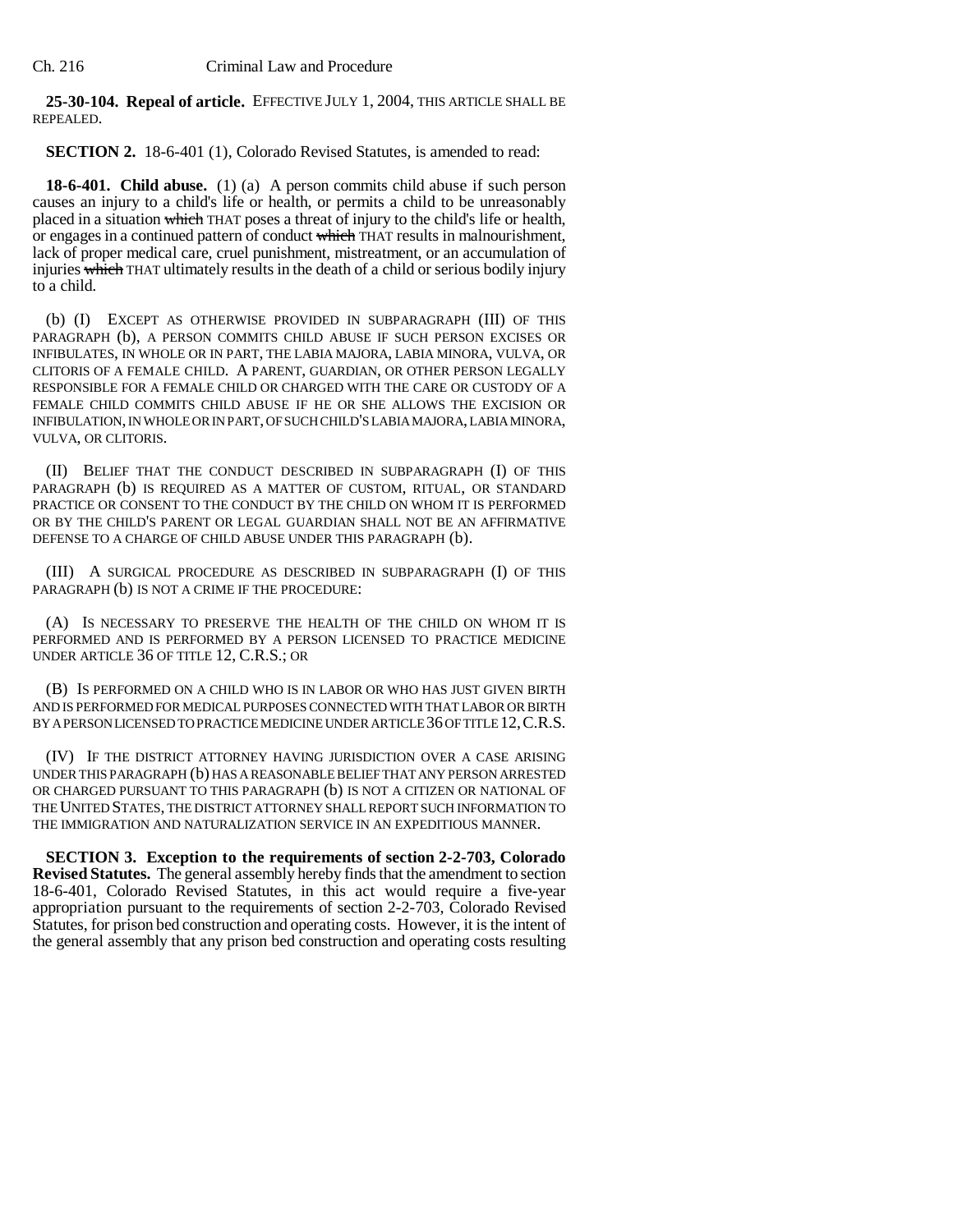**25-30-104. Repeal of article.** EFFECTIVE JULY 1, 2004, THIS ARTICLE SHALL BE REPEALED.

**SECTION 2.** 18-6-401 (1), Colorado Revised Statutes, is amended to read:

**18-6-401. Child abuse.** (1) (a) A person commits child abuse if such person causes an injury to a child's life or health, or permits a child to be unreasonably placed in a situation which THAT poses a threat of injury to the child's life or health, or engages in a continued pattern of conduct which THAT results in malnourishment, lack of proper medical care, cruel punishment, mistreatment, or an accumulation of injuries which THAT ultimately results in the death of a child or serious bodily injury to a child.

(b) (I) EXCEPT AS OTHERWISE PROVIDED IN SUBPARAGRAPH (III) OF THIS PARAGRAPH (b), A PERSON COMMITS CHILD ABUSE IF SUCH PERSON EXCISES OR INFIBULATES, IN WHOLE OR IN PART, THE LABIA MAJORA, LABIA MINORA, VULVA, OR CLITORIS OF A FEMALE CHILD. A PARENT, GUARDIAN, OR OTHER PERSON LEGALLY RESPONSIBLE FOR A FEMALE CHILD OR CHARGED WITH THE CARE OR CUSTODY OF A FEMALE CHILD COMMITS CHILD ABUSE IF HE OR SHE ALLOWS THE EXCISION OR INFIBULATION, IN WHOLE OR IN PART, OF SUCH CHILD'S LABIA MAJORA, LABIA MINORA, VULVA, OR CLITORIS.

(II) BELIEF THAT THE CONDUCT DESCRIBED IN SUBPARAGRAPH (I) OF THIS PARAGRAPH (b) IS REQUIRED AS A MATTER OF CUSTOM, RITUAL, OR STANDARD PRACTICE OR CONSENT TO THE CONDUCT BY THE CHILD ON WHOM IT IS PERFORMED OR BY THE CHILD'S PARENT OR LEGAL GUARDIAN SHALL NOT BE AN AFFIRMATIVE DEFENSE TO A CHARGE OF CHILD ABUSE UNDER THIS PARAGRAPH (b).

(III) A SURGICAL PROCEDURE AS DESCRIBED IN SUBPARAGRAPH (I) OF THIS PARAGRAPH (b) IS NOT A CRIME IF THE PROCEDURE:

(A) IS NECESSARY TO PRESERVE THE HEALTH OF THE CHILD ON WHOM IT IS PERFORMED AND IS PERFORMED BY A PERSON LICENSED TO PRACTICE MEDICINE UNDER ARTICLE 36 OF TITLE 12, C.R.S.; OR

(B) IS PERFORMED ON A CHILD WHO IS IN LABOR OR WHO HAS JUST GIVEN BIRTH AND IS PERFORMED FOR MEDICAL PURPOSES CONNECTED WITH THAT LABOR OR BIRTH BY A PERSON LICENSED TO PRACTICE MEDICINE UNDER ARTICLE 36 OF TITLE 12,C.R.S.

(IV) IF THE DISTRICT ATTORNEY HAVING JURISDICTION OVER A CASE ARISING UNDER THIS PARAGRAPH (b) HAS A REASONABLE BELIEF THAT ANY PERSON ARRESTED OR CHARGED PURSUANT TO THIS PARAGRAPH (b) IS NOT A CITIZEN OR NATIONAL OF THE UNITED STATES, THE DISTRICT ATTORNEY SHALL REPORT SUCH INFORMATION TO THE IMMIGRATION AND NATURALIZATION SERVICE IN AN EXPEDITIOUS MANNER.

**SECTION 3. Exception to the requirements of section 2-2-703, Colorado Revised Statutes.** The general assembly hereby finds that the amendment to section 18-6-401, Colorado Revised Statutes, in this act would require a five-year appropriation pursuant to the requirements of section 2-2-703, Colorado Revised Statutes, for prison bed construction and operating costs. However, it is the intent of the general assembly that any prison bed construction and operating costs resulting